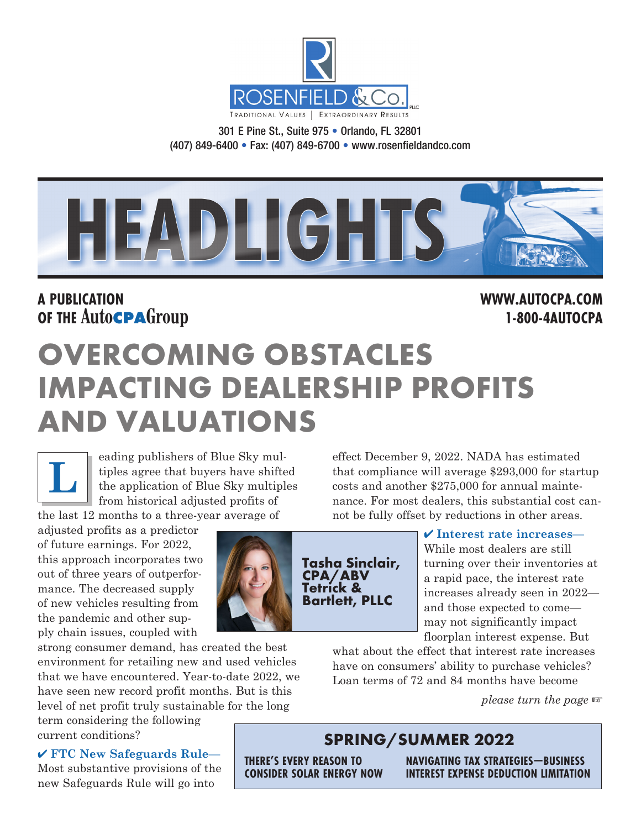

301 E Pine St., Suite 975 • Orlando, FL 32801 (407) 849-6400 • Fax: (407) 849-6700 • www.rosenfieldandco.com



### **A PUBLICATION WWW.AUTOCPA.COM OF THE AutoCPAGroup 1-800-4AUTOCPA**

# **OVERCOMING OBSTACLES IMPACTING DEALERSHIP PROFITS AND VALUATIONS**

eading publishers of Blue Sky multiples agree that buyers have shifted the application of Blue Sky multiples from historical adjusted profits of the last 12 months to a three-year average of **L**

adjusted profits as a predictor of future earnings. For 2022, this approach incorporates two out of three years of outperformance. The decreased supply of new vehicles resulting from the pandemic and other supply chain issues, coupled with

strong consumer demand, has created the best environment for retailing new and used vehicles that we have encountered. Year-to-date 2022, we have seen new record profit months. But is this level of net profit truly sustainable for the long

term considering the following current conditions?

✔ **FTC New Safeguards Rule**— Most substantive provisions of the new Safeguards Rule will go into



effect December 9, 2022. NADA has estimated that compliance will average \$293,000 for startup costs and another \$275,000 for annual maintenance. For most dealers, this substantial cost cannot be fully offset by reductions in other areas.

### ✔ **Interest rate increases**—

While most dealers are still turning over their inventories at a rapid pace, the interest rate increases already seen in 2022 and those expected to come may not significantly impact floorplan interest expense. But

what about the effect that interest rate increases have on consumers' ability to purchase vehicles? Loan terms of 72 and 84 months have become

*please turn the page* ☞

### **SPRING/SUMMER 2022**

**THERE'S EVERY REASON TO CONSIDER SOLAR ENERGY NOW** **NAVIGATING TAX STRATEGIES—BUSINESS INTEREST EXPENSE DEDUCTION LIMITATION**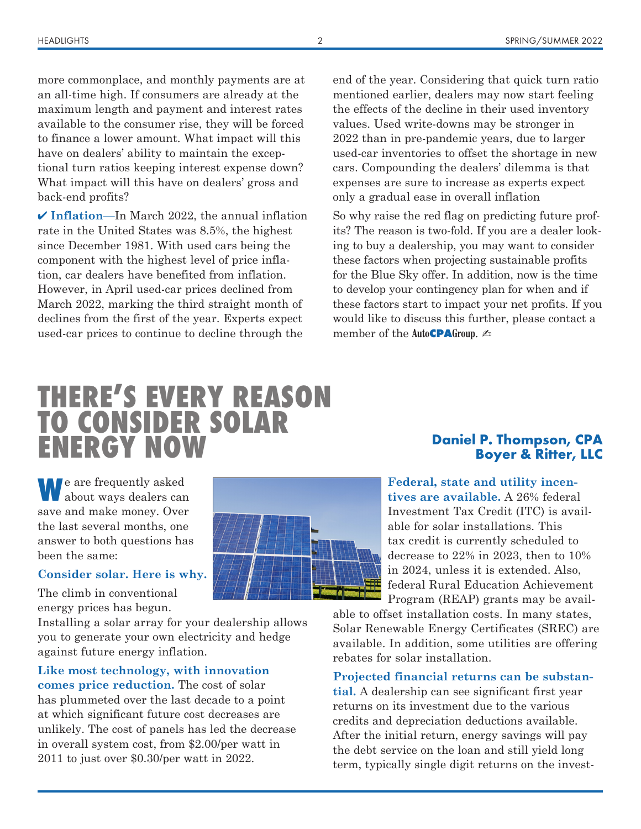more commonplace, and monthly payments are at an all-time high. If consumers are already at the maximum length and payment and interest rates available to the consumer rise, they will be forced to finance a lower amount. What impact will this have on dealers' ability to maintain the exceptional turn ratios keeping interest expense down? What impact will this have on dealers' gross and back-end profits?

✔ **Inflation**—In March 2022, the annual inflation rate in the United States was 8.5%, the highest since December 1981. With used cars being the component with the highest level of price inflation, car dealers have benefited from inflation. However, in April used-car prices declined from March 2022, marking the third straight month of declines from the first of the year. Experts expect used-car prices to continue to decline through the

end of the year. Considering that quick turn ratio mentioned earlier, dealers may now start feeling the effects of the decline in their used inventory values. Used write-downs may be stronger in 2022 than in pre-pandemic years, due to larger used-car inventories to offset the shortage in new cars. Compounding the dealers' dilemma is that expenses are sure to increase as experts expect only a gradual ease in overall inflation

So why raise the red flag on predicting future profits? The reason is two-fold. If you are a dealer looking to buy a dealership, you may want to consider these factors when projecting sustainable profits for the Blue Sky offer. In addition, now is the time to develop your contingency plan for when and if these factors start to impact your net profits. If you would like to discuss this further, please contact a member of the **AutoCPAGroup**. ✍

# **THERE'S EVERY REASON TO CONSIDER SOLAR ENERGY NOW** Daniel P. Thompson, CPA

**W**e are frequently asked about ways dealers can save and make money. Over the last several months, one answer to both questions has been the same:

### **Consider solar. Here is why.**

The climb in conventional energy prices has begun.

Installing a solar array for your dealership allows you to generate your own electricity and hedge against future energy inflation.

### **Like most technology, with innovation**

**comes price reduction.** The cost of solar has plummeted over the last decade to a point at which significant future cost decreases are unlikely. The cost of panels has led the decrease in overall system cost, from \$2.00/per watt in 2011 to just over \$0.30/per watt in 2022.



# **Boyer & Ritter, LLC**

**Federal, state and utility incentives are available.** A 26% federal

Investment Tax Credit (ITC) is available for solar installations. This tax credit is currently scheduled to decrease to 22% in 2023, then to 10% in 2024, unless it is extended. Also, federal Rural Education Achievement Program (REAP) grants may be avail-

able to offset installation costs. In many states, Solar Renewable Energy Certificates (SREC) are available. In addition, some utilities are offering rebates for solar installation.

### **Projected financial returns can be substan-**

**tial.** A dealership can see significant first year returns on its investment due to the various credits and depreciation deductions available. After the initial return, energy savings will pay the debt service on the loan and still yield long term, typically single digit returns on the invest-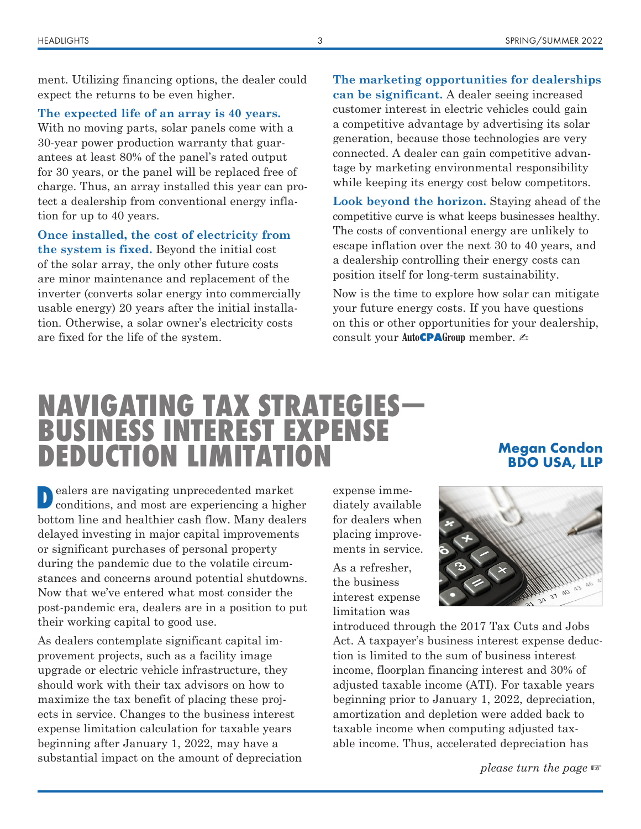ment. Utilizing financing options, the dealer could expect the returns to be even higher.

**The expected life of an array is 40 years.**

With no moving parts, solar panels come with a 30-year power production warranty that guarantees at least 80% of the panel's rated output for 30 years, or the panel will be replaced free of charge. Thus, an array installed this year can protect a dealership from conventional energy inflation for up to 40 years.

**Once installed, the cost of electricity from the system is fixed.** Beyond the initial cost of the solar array, the only other future costs are minor maintenance and replacement of the inverter (converts solar energy into commercially usable energy) 20 years after the initial installation. Otherwise, a solar owner's electricity costs are fixed for the life of the system.

### **The marketing opportunities for dealerships can be significant.** A dealer seeing increased customer interest in electric vehicles could gain a competitive advantage by advertising its solar generation, because those technologies are very connected. A dealer can gain competitive advantage by marketing environmental responsibility while keeping its energy cost below competitors.

**Look beyond the horizon.** Staying ahead of the competitive curve is what keeps businesses healthy. The costs of conventional energy are unlikely to escape inflation over the next 30 to 40 years, and a dealership controlling their energy costs can position itself for long-term sustainability.

Now is the time to explore how solar can mitigate your future energy costs. If you have questions on this or other opportunities for your dealership, consult your Auto**CPA**Group member. ∠

### **NAVIGATING TAX STRATEGIES— BUSINESS INTEREST EXPENSE DEDUCTION LIMITATION**

### **Megan Condon BDO USA, LLP**

**D**ealers are navigating unprecedented market conditions, and most are experiencing a higher bottom line and healthier cash flow. Many dealers delayed investing in major capital improvements or significant purchases of personal property during the pandemic due to the volatile circumstances and concerns around potential shutdowns. Now that we've entered what most consider the post-pandemic era, dealers are in a position to put their working capital to good use.

As dealers contemplate significant capital improvement projects, such as a facility image upgrade or electric vehicle infrastructure, they should work with their tax advisors on how to maximize the tax benefit of placing these projects in service. Changes to the business interest expense limitation calculation for taxable years beginning after January 1, 2022, may have a substantial impact on the amount of depreciation expense immediately available for dealers when placing improvements in service.

As a refresher, the business interest expense limitation was



introduced through the 2017 Tax Cuts and Jobs Act. A taxpayer's business interest expense deduction is limited to the sum of business interest income, floorplan financing interest and 30% of adjusted taxable income (ATI). For taxable years beginning prior to January 1, 2022, depreciation, amortization and depletion were added back to taxable income when computing adjusted taxable income. Thus, accelerated depreciation has

*please turn the page* ☞